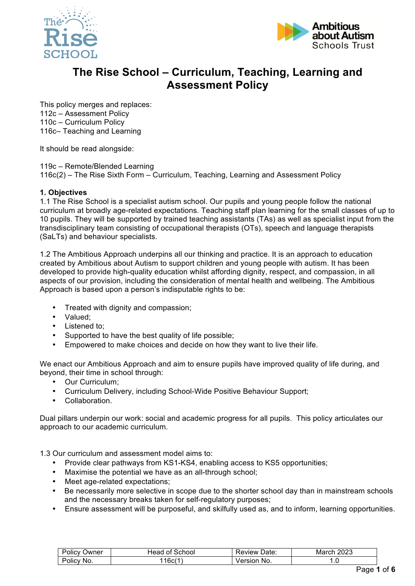



# **The Rise School – Curriculum, Teaching, Learning and Assessment Policy**

This policy merges and replaces: 112c – Assessment Policy 110c – Curriculum Policy 116c– Teaching and Learning

It should be read alongside:

119c – Remote/Blended Learning 116c(2) – The Rise Sixth Form – Curriculum, Teaching, Learning and Assessment Policy

# **1. Objectives**

1.1 The Rise School is a specialist autism school. Our pupils and young people follow the national curriculum at broadly age-related expectations. Teaching staff plan learning for the small classes of up to 10 pupils. They will be supported by trained teaching assistants (TAs) as well as specialist input from the transdisciplinary team consisting of occupational therapists (OTs), speech and language therapists (SaLTs) and behaviour specialists.

1.2 The Ambitious Approach underpins all our thinking and practice. It is an approach to education created by Ambitious about Autism to support children and young people with autism. It has been developed to provide high-quality education whilst affording dignity, respect, and compassion, in all aspects of our provision, including the consideration of mental health and wellbeing. The Ambitious Approach is based upon a person's indisputable rights to be:

- Treated with dignity and compassion;<br>• Valued:
- Valued;
- Listened to:
- Supported to have the best quality of life possible;
- Empowered to make choices and decide on how they want to live their life.

We enact our Ambitious Approach and aim to ensure pupils have improved quality of life during, and beyond, their time in school through:

- Our Curriculum;
- Curriculum Delivery, including School-Wide Positive Behaviour Support;
- Collaboration.

Dual pillars underpin our work: social and academic progress for all pupils. This policy articulates our approach to our academic curriculum.

1.3 Our curriculum and assessment model aims to:

- Provide clear pathways from KS1-KS4, enabling access to KS5 opportunities;
- Maximise the potential we have as an all-through school;
- Meet age-related expectations;
- Be necessarily more selective in scope due to the shorter school day than in mainstream schools and the necessary breaks taken for self-regulatory purposes;
- Ensure assessment will be purposeful, and skilfully used as, and to inform, learning opportunities.

| D <sub>0</sub><br>שwner<br>'olicv | School<br>Head<br>οt | Date:<br>kevlew | 2023  |
|-----------------------------------|----------------------|-----------------|-------|
| De                                | .160(1)              | ersion          | . . v |
| NO.                               | ◡                    | NO.             |       |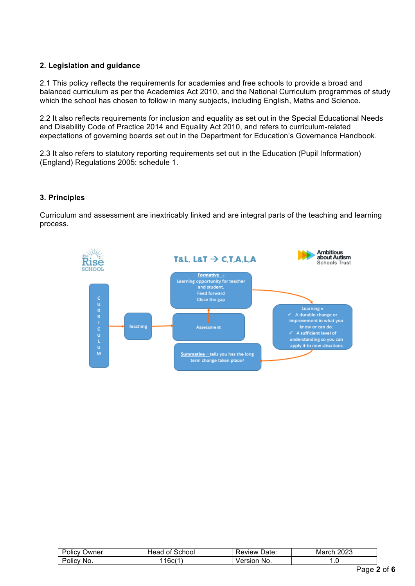# **2. Legislation and guidance**

2.1 This policy reflects the requirements for academies and free schools to provide a broad and balanced curriculum as per the Academies Act 2010, and the National Curriculum programmes of study which the school has chosen to follow in many subjects, including English, Maths and Science.

2.2 It also reflects requirements for inclusion and equality as set out in the Special Educational Needs and Disability Code of Practice 2014 and Equality Act 2010, and refers to curriculum-related expectations of governing boards set out in the Department for Education's Governance Handbook.

2.3 It also refers to statutory reporting requirements set out in the Education (Pupil Information) (England) Regulations 2005: schedule 1.

# **3. Principles**

Curriculum and assessment are inextricably linked and are integral parts of the teaching and learning process.



| $\overline{\phantom{0}}$<br><i>J</i> wner<br>וור<br>$\sim$ | School<br>ωL<br>−⊷<br>71 U | Date:<br>`view | 2023<br>.<br>Mar |
|------------------------------------------------------------|----------------------------|----------------|------------------|
| -<br>No.<br>ΌΙΙΟ                                           | 16с(.                      | NO.            | ب                |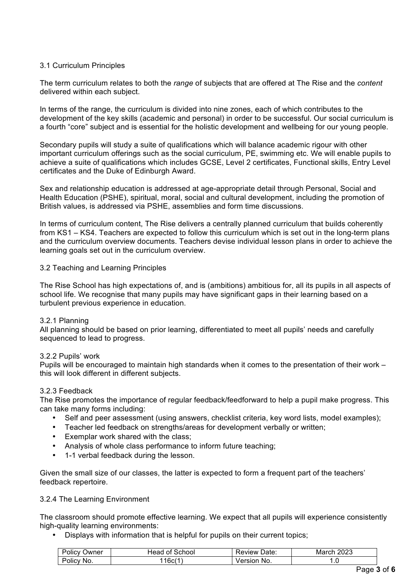# 3.1 Curriculum Principles

The term curriculum relates to both the *range* of subjects that are offered at The Rise and the *content* delivered within each subject.

In terms of the range, the curriculum is divided into nine zones, each of which contributes to the development of the key skills (academic and personal) in order to be successful. Our social curriculum is a fourth "core" subject and is essential for the holistic development and wellbeing for our young people.

Secondary pupils will study a suite of qualifications which will balance academic rigour with other important curriculum offerings such as the social curriculum, PE, swimming etc. We will enable pupils to achieve a suite of qualifications which includes GCSE, Level 2 certificates, Functional skills, Entry Level certificates and the Duke of Edinburgh Award.

Sex and relationship education is addressed at age-appropriate detail through Personal, Social and Health Education (PSHE), spiritual, moral, social and cultural development, including the promotion of British values, is addressed via PSHE, assemblies and form time discussions.

In terms of curriculum content, The Rise delivers a centrally planned curriculum that builds coherently from KS1 – KS4. Teachers are expected to follow this curriculum which is set out in the long-term plans and the curriculum overview documents. Teachers devise individual lesson plans in order to achieve the learning goals set out in the curriculum overview.

#### 3.2 Teaching and Learning Principles

The Rise School has high expectations of, and is (ambitions) ambitious for, all its pupils in all aspects of school life. We recognise that many pupils may have significant gaps in their learning based on a turbulent previous experience in education.

#### 3.2.1 Planning

All planning should be based on prior learning, differentiated to meet all pupils' needs and carefully sequenced to lead to progress.

#### 3.2.2 Pupils' work

Pupils will be encouraged to maintain high standards when it comes to the presentation of their work – this will look different in different subjects.

#### 3.2.3 Feedback

The Rise promotes the importance of regular feedback/feedforward to help a pupil make progress. This can take many forms including:

- Self and peer assessment (using answers, checklist criteria, key word lists, model examples);
- Teacher led feedback on strengths/areas for development verbally or written;
- Exemplar work shared with the class;
- Analysis of whole class performance to inform future teaching;
- 1-1 verbal feedback during the lesson.

Given the small size of our classes, the latter is expected to form a frequent part of the teachers' feedback repertoire.

#### 3.2.4 The Learning Environment

The classroom should promote effective learning. We expect that all pupils will experience consistently high-quality learning environments:

• Displays with information that is helpful for pupils on their current topics;

| Policy     | Head of School | Date:       | 2023  |
|------------|----------------|-------------|-------|
| Owner      |                | Review      | March |
| Policy No. | 116c(1)        | Version No. | . . u |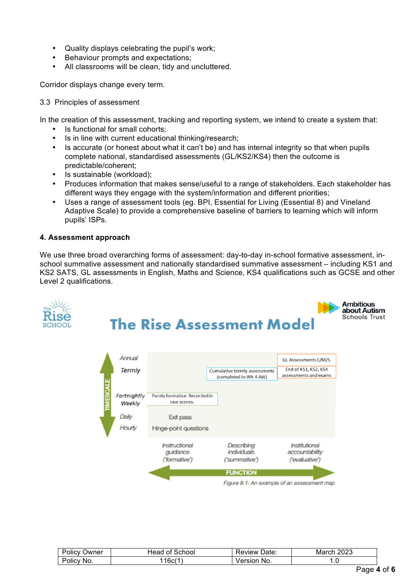- Quality displays celebrating the pupil's work;
- Behaviour prompts and expectations;
- All classrooms will be clean, tidy and uncluttered.

Corridor displays change every term.

#### 3.3 Principles of assessment

In the creation of this assessment, tracking and reporting system, we intend to create a system that:

- Is functional for small cohorts;
- Is in line with current educational thinking/research;
- Is accurate (or honest about what it can't be) and has internal integrity so that when pupils complete national, standardised assessments (GL/KS2/KS4) then the outcome is predictable/coherent;
- Is sustainable (workload);
- Produces information that makes sense/useful to a range of stakeholders. Each stakeholder has different ways they engage with the system/information and different priorities;
- Uses a range of assessment tools (eg. BPI, Essential for Living (Essential 8) and Vineland Adaptive Scale) to provide a comprehensive baseline of barriers to learning which will inform pupils' ISPs.

#### **4. Assessment approach**

We use three broad overarching forms of assessment: day-to-day in-school formative assessment, inschool summative assessment and nationally standardised summative assessment – including KS1 and KS2 SATS, GL assessments in English, Maths and Science, KS4 qualifications such as GCSE and other Level 2 qualifications.



# **The Rise Assessment Model**



| ⊃wner<br>olicy' | School<br>οt<br><sub>1ead</sub> | Date.<br>eview | 2023<br><b>March</b> |
|-----------------|---------------------------------|----------------|----------------------|
| No.<br>POIIC'   | 16CL.                           | No.            | . ب                  |

**Ambitious** about Autism **Schools Trust**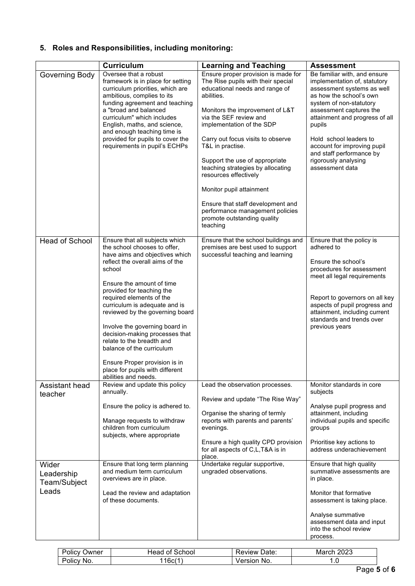# **5. Roles and Responsibilities, including monitoring:**

|                                              | <b>Curriculum</b>                                                                                                                                                                                                                                                                                                                                                                                                                                                                                                                 | <b>Learning and Teaching</b>                                                                                                                                                                                                                                                                                                                                                                                                                                                                                                | <b>Assessment</b>                                                                                                                                                                                                                                                                                                                                       |
|----------------------------------------------|-----------------------------------------------------------------------------------------------------------------------------------------------------------------------------------------------------------------------------------------------------------------------------------------------------------------------------------------------------------------------------------------------------------------------------------------------------------------------------------------------------------------------------------|-----------------------------------------------------------------------------------------------------------------------------------------------------------------------------------------------------------------------------------------------------------------------------------------------------------------------------------------------------------------------------------------------------------------------------------------------------------------------------------------------------------------------------|---------------------------------------------------------------------------------------------------------------------------------------------------------------------------------------------------------------------------------------------------------------------------------------------------------------------------------------------------------|
| Governing Body                               | Oversee that a robust<br>framework is in place for setting<br>curriculum priorities, which are<br>ambitious, complies to its<br>funding agreement and teaching<br>a "broad and balanced<br>curriculum" which includes<br>English, maths, and science,<br>and enough teaching time is<br>provided for pupils to cover the<br>requirements in pupil's ECHPs                                                                                                                                                                         | Ensure proper provision is made for<br>The Rise pupils with their special<br>educational needs and range of<br>abilities.<br>Monitors the improvement of L&T<br>via the SEF review and<br>implementation of the SDP<br>Carry out focus visits to observe<br>T&L in practise.<br>Support the use of appropriate<br>teaching strategies by allocating<br>resources effectively<br>Monitor pupil attainment<br>Ensure that staff development and<br>performance management policies<br>promote outstanding quality<br>teaching | Be familiar with, and ensure<br>implementation of, statutory<br>assessment systems as well<br>as how the school's own<br>system of non-statutory<br>assessment captures the<br>attainment and progress of all<br>pupils<br>Hold school leaders to<br>account for improving pupil<br>and staff performance by<br>rigorously analysing<br>assessment data |
| <b>Head of School</b>                        | Ensure that all subjects which<br>the school chooses to offer,<br>have aims and objectives which<br>reflect the overall aims of the<br>school<br>Ensure the amount of time<br>provided for teaching the<br>required elements of the<br>curriculum is adequate and is<br>reviewed by the governing board<br>Involve the governing board in<br>decision-making processes that<br>relate to the breadth and<br>balance of the curriculum<br>Ensure Proper provision is in<br>place for pupils with different<br>abilities and needs. | Ensure that the school buildings and<br>premises are best used to support<br>successful teaching and learning                                                                                                                                                                                                                                                                                                                                                                                                               | Ensure that the policy is<br>adhered to<br>Ensure the school's<br>procedures for assessment<br>meet all legal requirements<br>Report to governors on all key<br>aspects of pupil progress and<br>attainment, including current<br>standards and trends over<br>previous years                                                                           |
| Assistant head<br>teacher                    | Review and update this policy<br>annually.<br>Ensure the policy is adhered to.<br>Manage requests to withdraw<br>children from curriculum<br>subjects, where appropriate                                                                                                                                                                                                                                                                                                                                                          | Lead the observation processes.<br>Review and update "The Rise Way"<br>Organise the sharing of termly<br>reports with parents and parents'<br>evenings.<br>Ensure a high quality CPD provision<br>for all aspects of C,L,T&A is in<br>place.                                                                                                                                                                                                                                                                                | Monitor standards in core<br>subjects<br>Analyse pupil progress and<br>attainment, including<br>individual pupils and specific<br>groups<br>Prioritise key actions to<br>address underachievement                                                                                                                                                       |
| Wider<br>Leadership<br>Team/Subject<br>Leads | Ensure that long term planning<br>and medium term curriculum<br>overviews are in place.<br>Lead the review and adaptation<br>of these documents.                                                                                                                                                                                                                                                                                                                                                                                  | Undertake regular supportive,<br>ungraded observations.                                                                                                                                                                                                                                                                                                                                                                                                                                                                     | Ensure that high quality<br>summative assessments are<br>in place.<br>Monitor that formative<br>assessment is taking place.<br>Analyse summative<br>assessment data and input<br>into the school review<br>process.                                                                                                                                     |

| Policy<br>⊃wner | : School<br>⊣ead<br>0t | Date:<br>Review | 2023<br>March |
|-----------------|------------------------|-----------------|---------------|
| Policy<br>No.   | . 16c(1                | No.<br>Version  | . . U         |